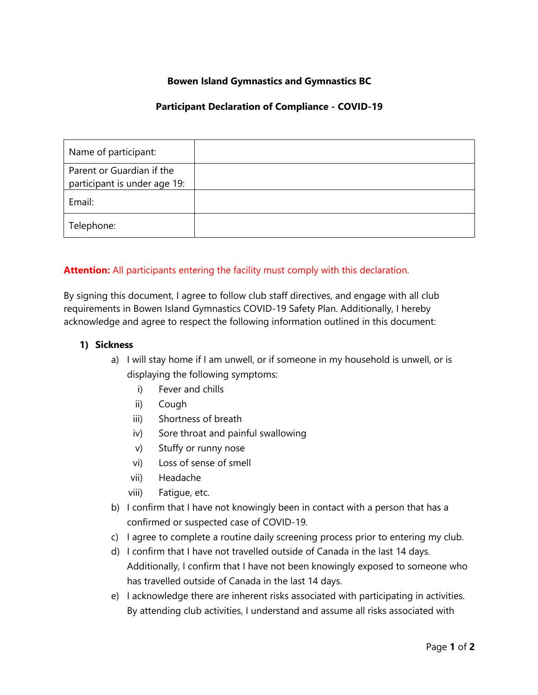# **Bowen Island Gymnastics and Gymnastics BC**

## **Participant Declaration of Compliance - COVID-19**

| Name of participant:                                      |  |
|-----------------------------------------------------------|--|
| Parent or Guardian if the<br>participant is under age 19: |  |
| Email:                                                    |  |
| Telephone:                                                |  |

# **Attention:** All participants entering the facility must comply with this declaration.

By signing this document, I agree to follow club staff directives, and engage with all club requirements in Bowen Island Gymnastics COVID-19 Safety Plan. Additionally, I hereby acknowledge and agree to respect the following information outlined in this document:

#### **1) Sickness**

- a) I will stay home if I am unwell, or if someone in my household is unwell, or is displaying the following symptoms:
	- i) Fever and chills
	- ii) Cough
	- iii) Shortness of breath
	- iv) Sore throat and painful swallowing
	- v) Stuffy or runny nose
	- vi) Loss of sense of smell
	- vii) Headache
	- viii) Fatigue, etc.
- b) I confirm that I have not knowingly been in contact with a person that has a confirmed or suspected case of COVID-19.
- c) I agree to complete a routine daily screening process prior to entering my club.
- d) I confirm that I have not travelled outside of Canada in the last 14 days. Additionally, I confirm that I have not been knowingly exposed to someone who has travelled outside of Canada in the last 14 days.
- e) I acknowledge there are inherent risks associated with participating in activities. By attending club activities, I understand and assume all risks associated with